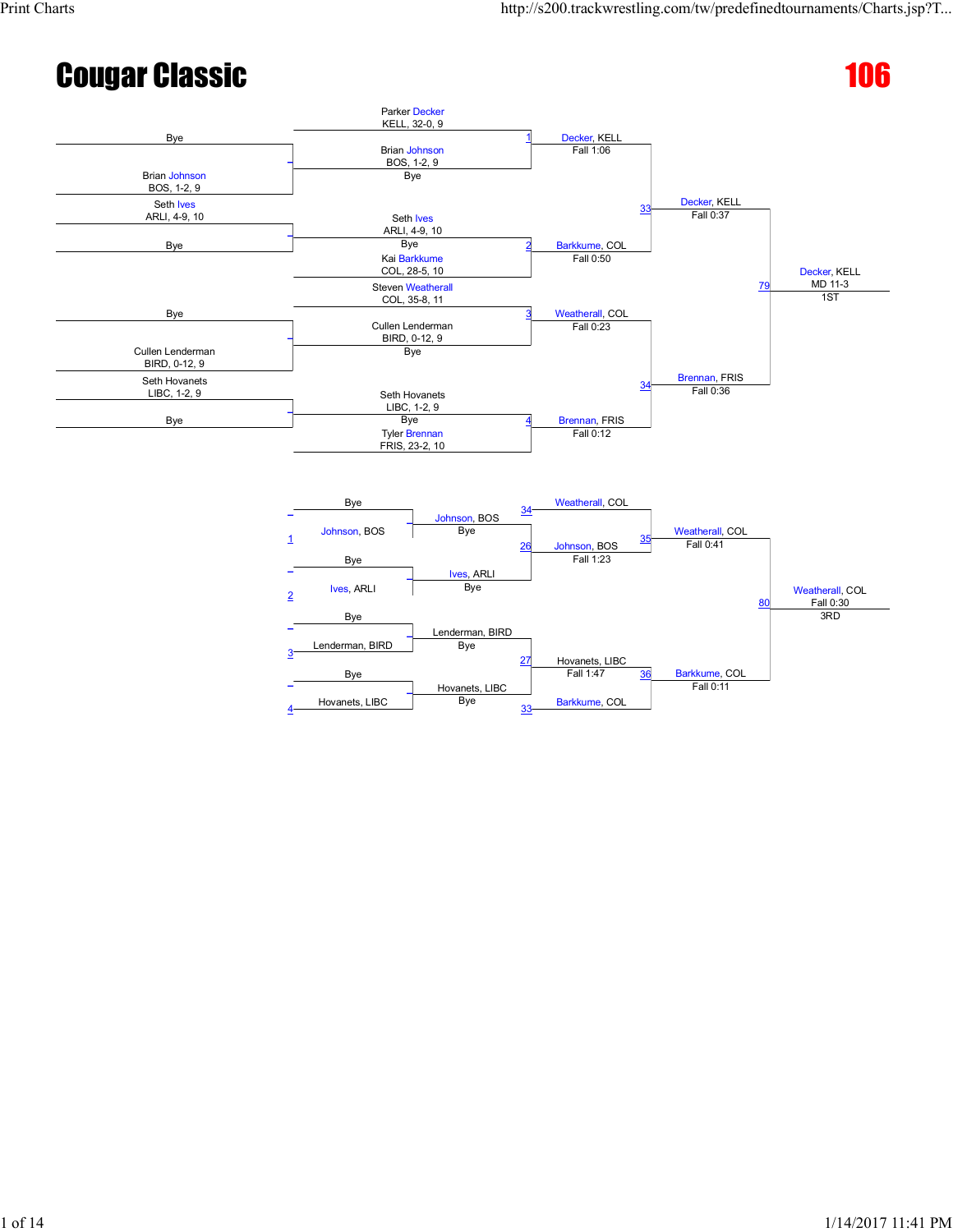#### **Cougar Classic 2008 Cougar Classic** 2008



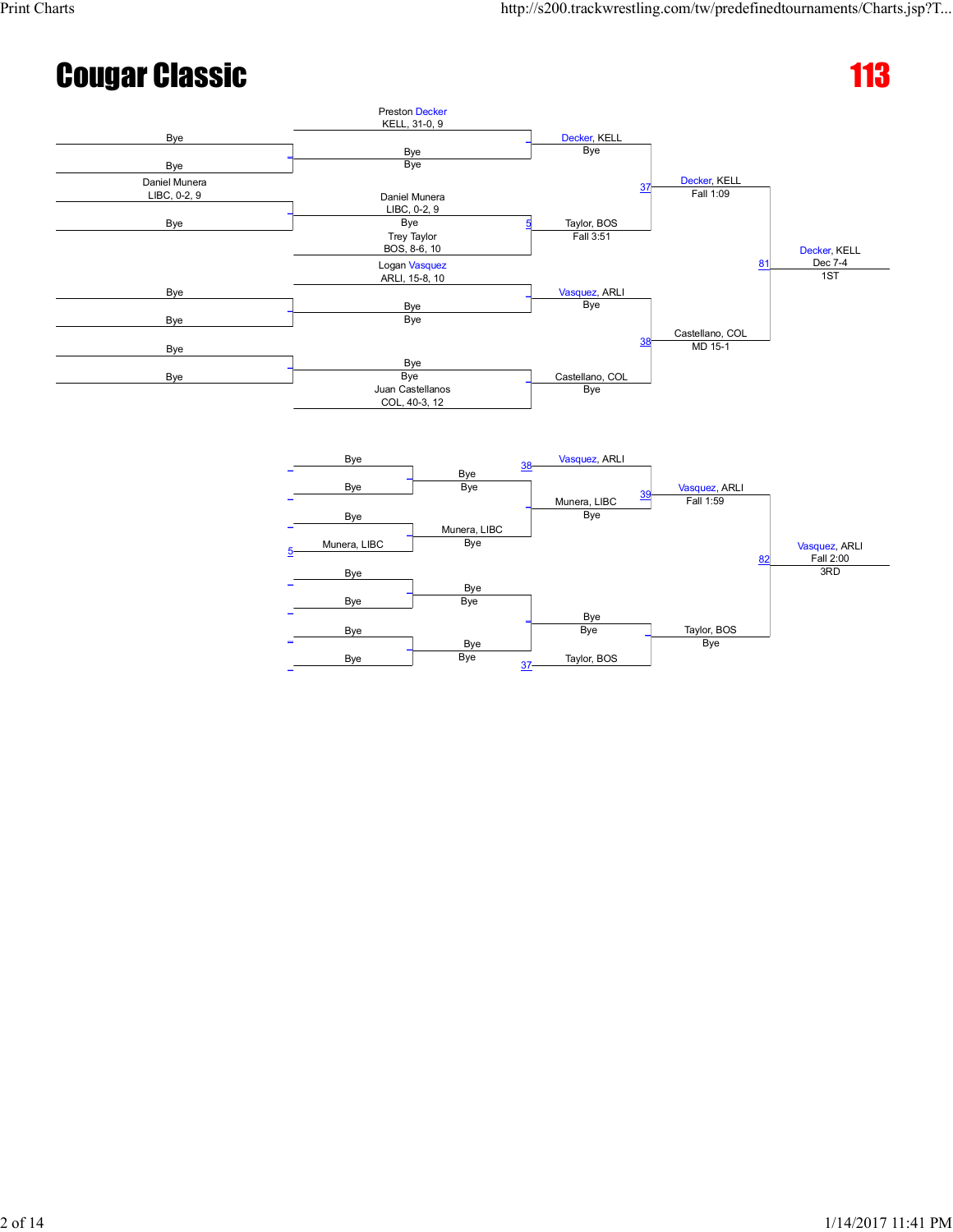Taylor, BOS

Bye

Vasquez, ARLI Fall 2:00

3RD

# **Cougar Classic 113**



Bye

Bye<br>Bye

 $\overline{\phantom{a}}$ 

37

Bye

Taylor, BOS

Bye \_

\_

 $\overline{\phantom{0}}$ 

Bye Bye

 $\overline{\phantom{a}}$ 

Munera, LIBC Bye

Bye

Bye Bye

5

\_

\_

\_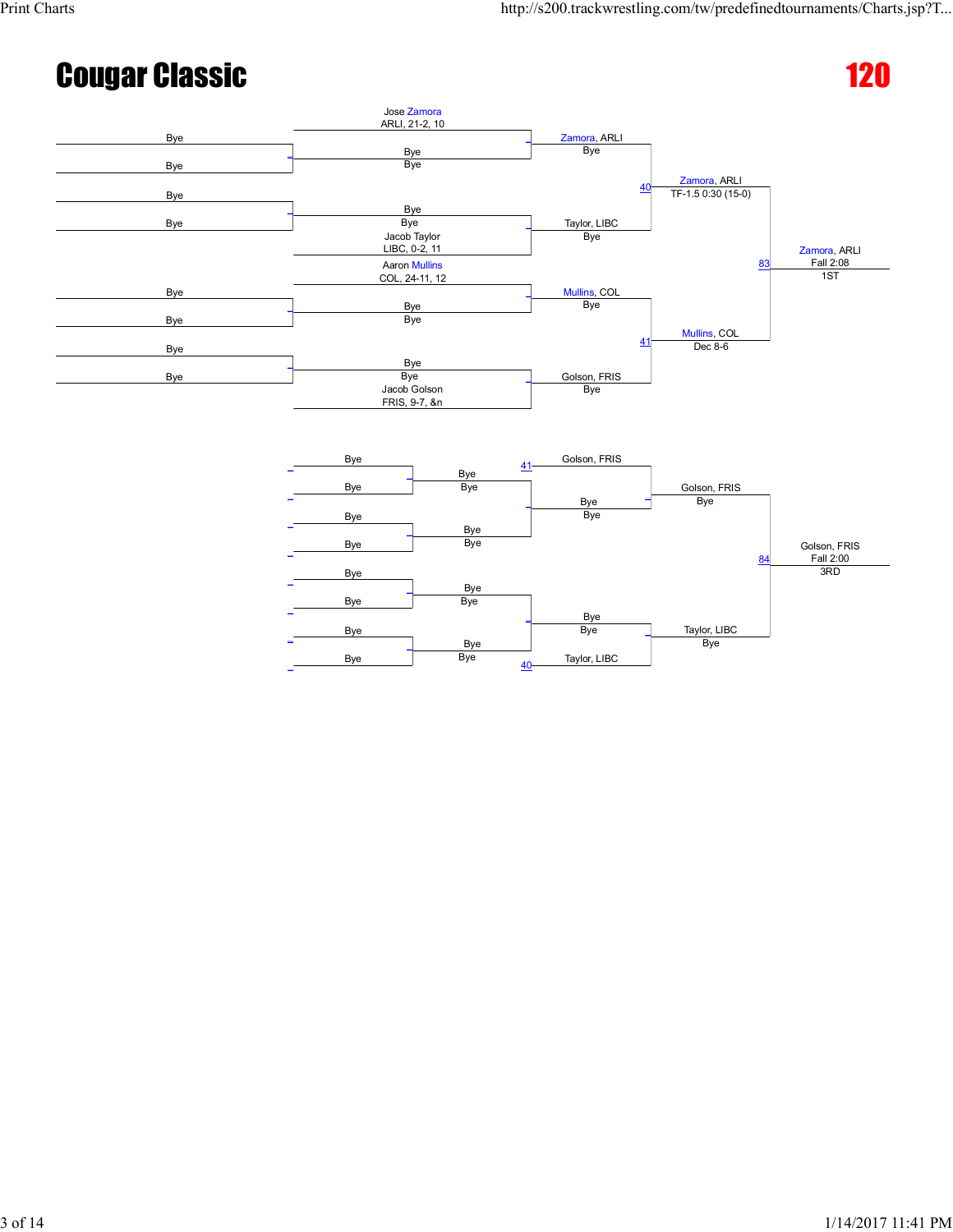Taylor, LIBC

Bye

Fall 2:00

3RD

# **Cougar Classic 2008 Cougar Classic** 2008



Bye

Bye<br>Bye

Bye

Taylor, LIBC

Bye \_

 $\overline{\phantom{a}}$ 

 $40$ 

 $\overline{a}$ 

\_

\_

\_

\_

Bye

Bye

Bye Bye

 $\overline{\phantom{0}}$ 

Bye Bye

 $\overline{\phantom{a}}$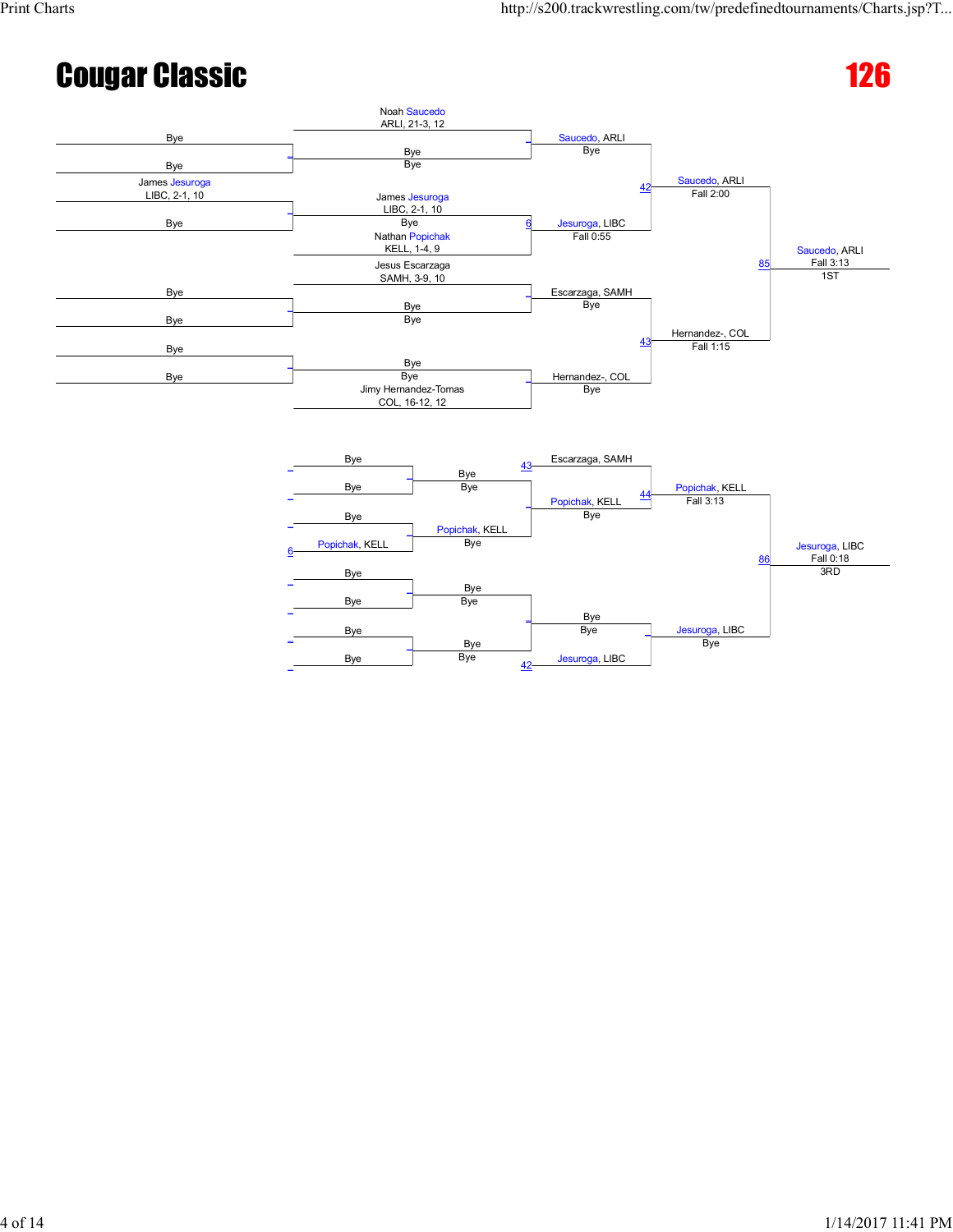# **Cougar Classic 2008 Cougar Classic** 2008



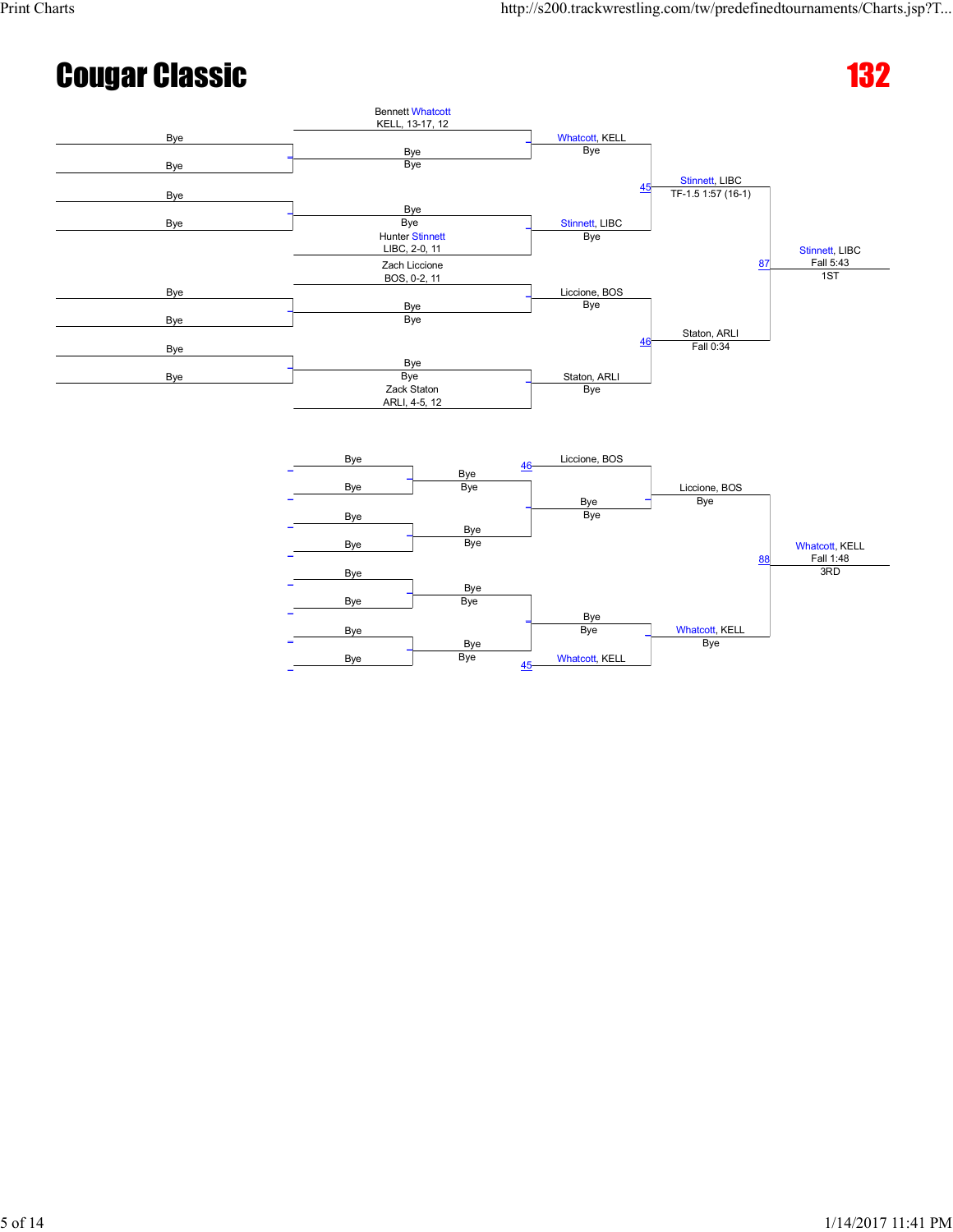

Bye

Bye<br>Bye

 $\overline{\phantom{a}}$ 

45

Bye

Bye \_

Whatcott, KELL

Whatcott, KELL

Bye

3RD

Bye

Bye

Bye Bye

 $\overline{\phantom{0}}$ 

Bye Bye

 $\overline{\phantom{a}}$ 

\_

\_

\_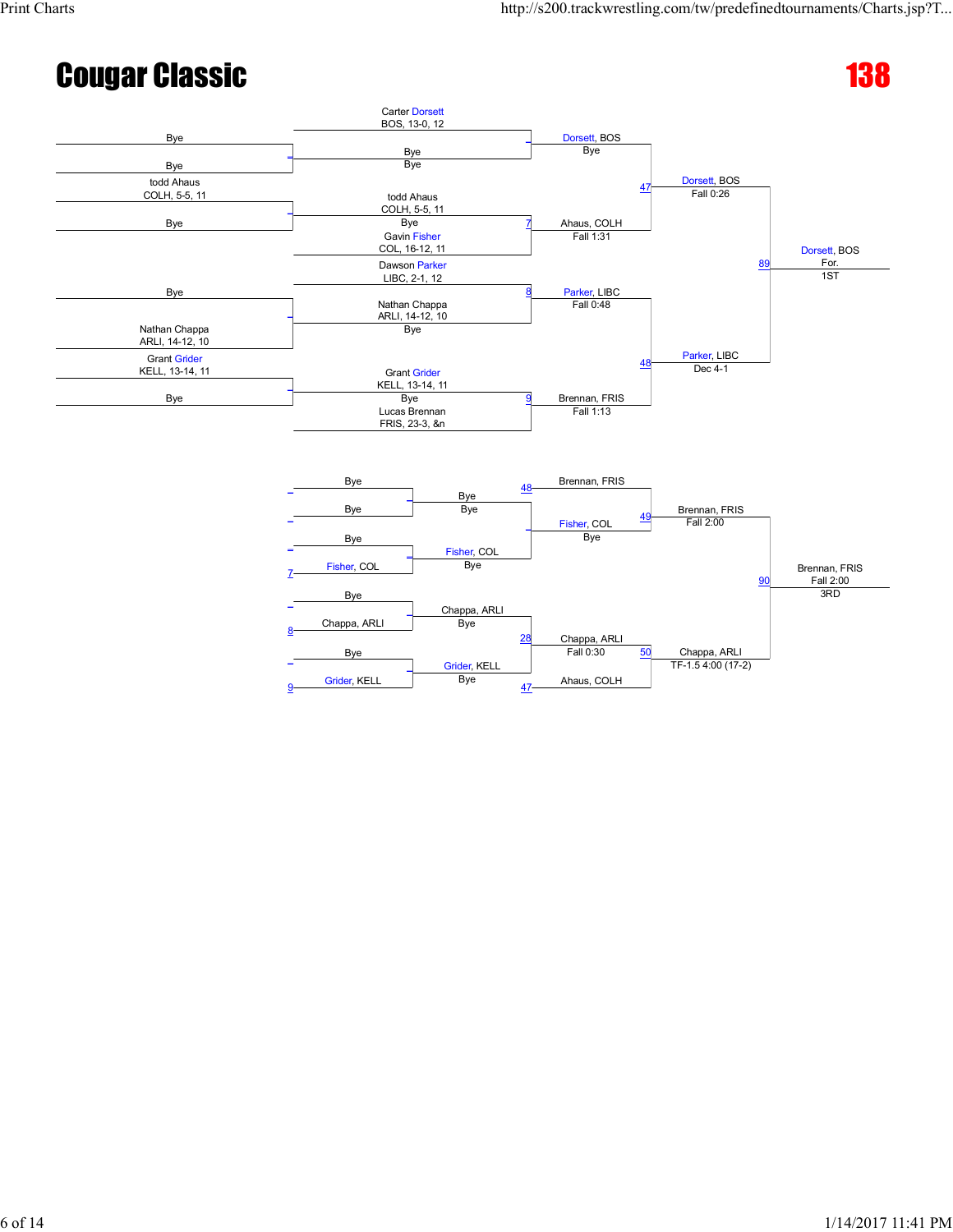Chappa, ARLI

TF-1.5 4:00 (17-2)

Brennan, FRIS Fall 2:00

3RD

#### **Cougar Classic 138**



Chappa, ARLI

Grider, KELL<br>Bye

28

47

Chappa, ARLI

Ahaus, COLH

Fall 0:30 50

7

 $\overline{a}$ 

8

\_

9

Fisher, COL Bye

 $\overline{\phantom{0}}$ 

\_

Chappa, ARLI Bye

Bye

Bye

Grider, KELL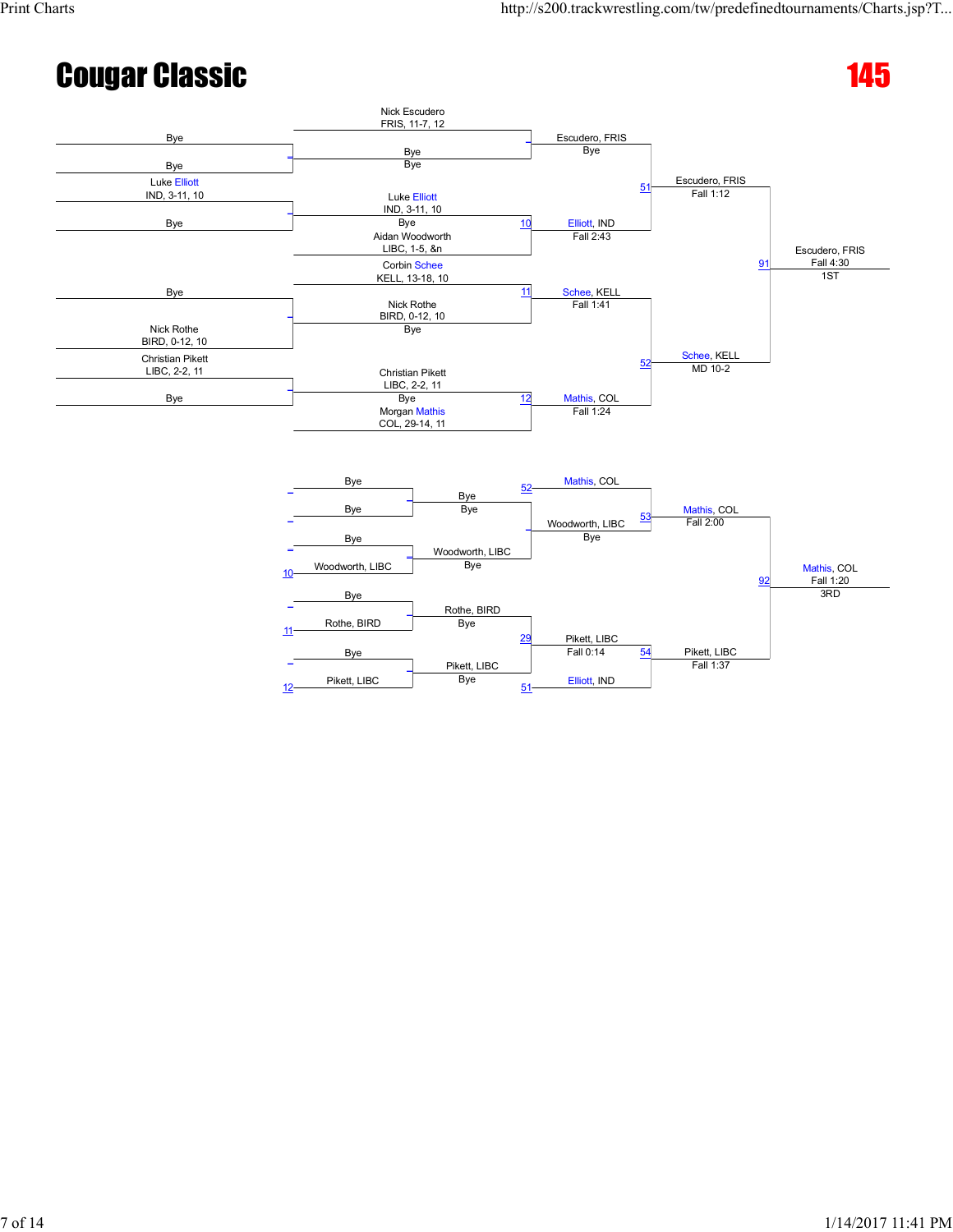

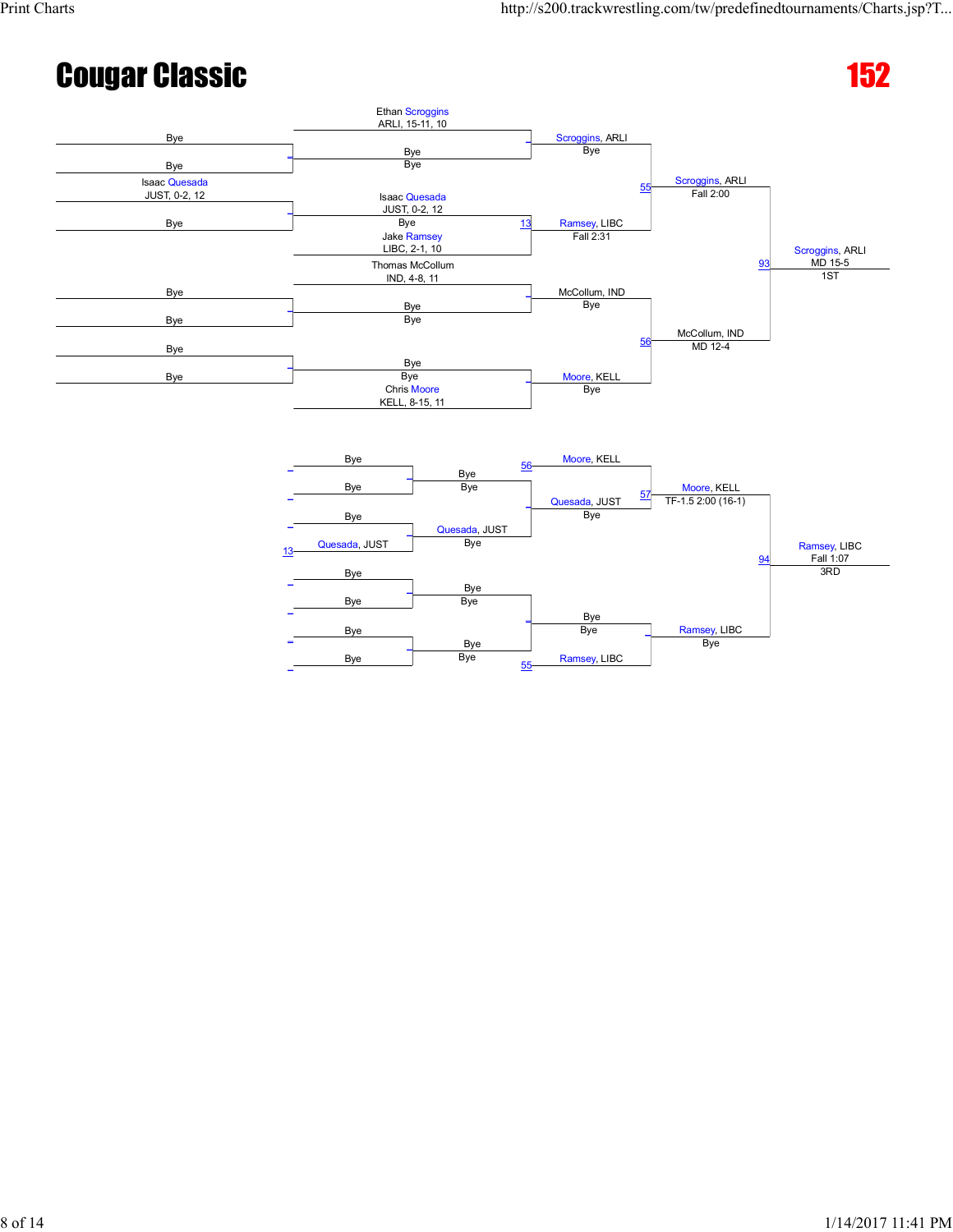3RD

Ramsey, LIBC

Bye

### **Cougar Classic 152**



Bye

Bye<br>Bye

 $\overline{\phantom{a}}$ 

55

Bye

Bye \_

Ramsey, LIBC

Bye

Bye

Bye Bye

 $\overline{\phantom{0}}$ 

Bye Bye

 $\overline{\phantom{0}}$ 

\_

\_

\_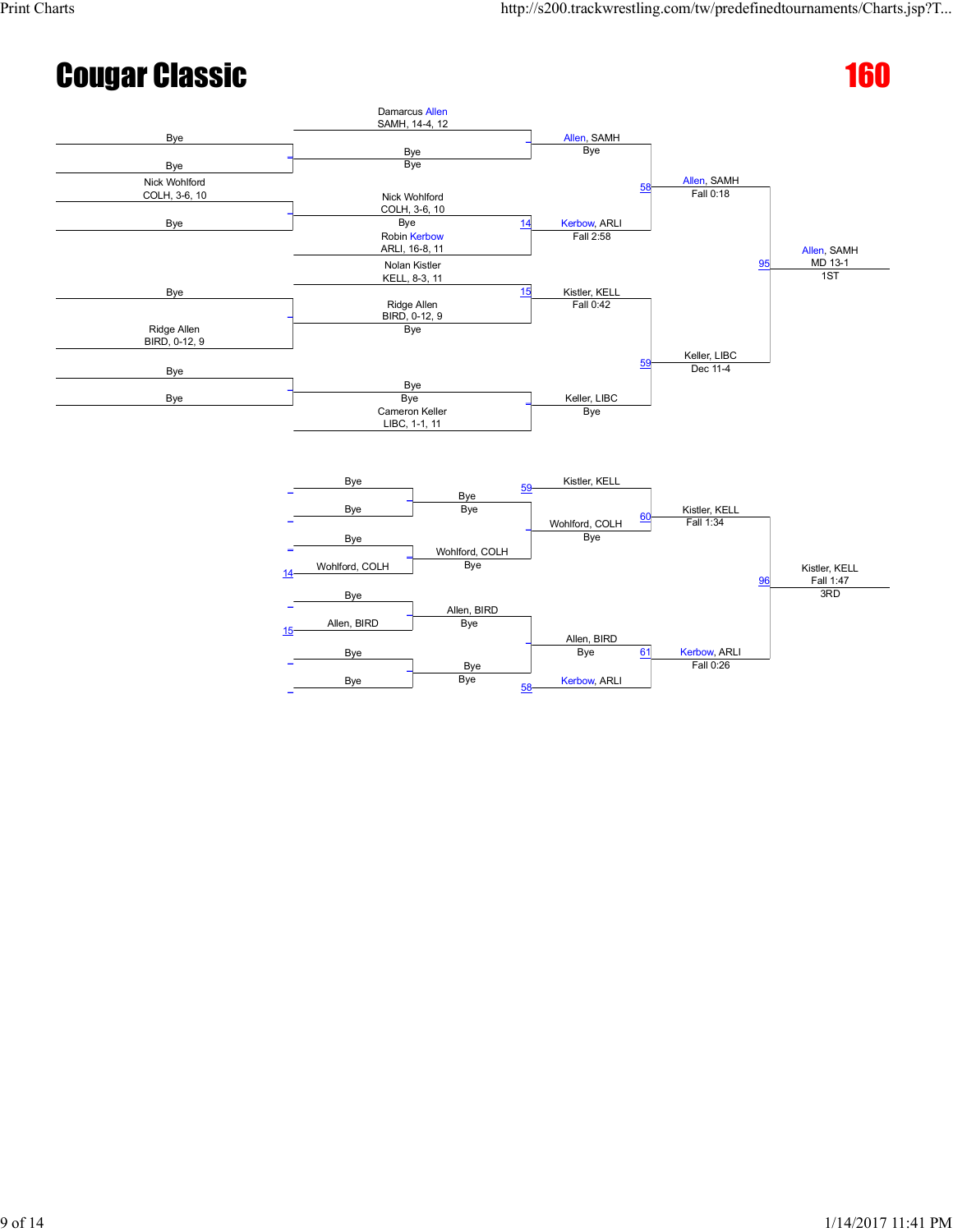



![](_page_8_Figure_5.jpeg)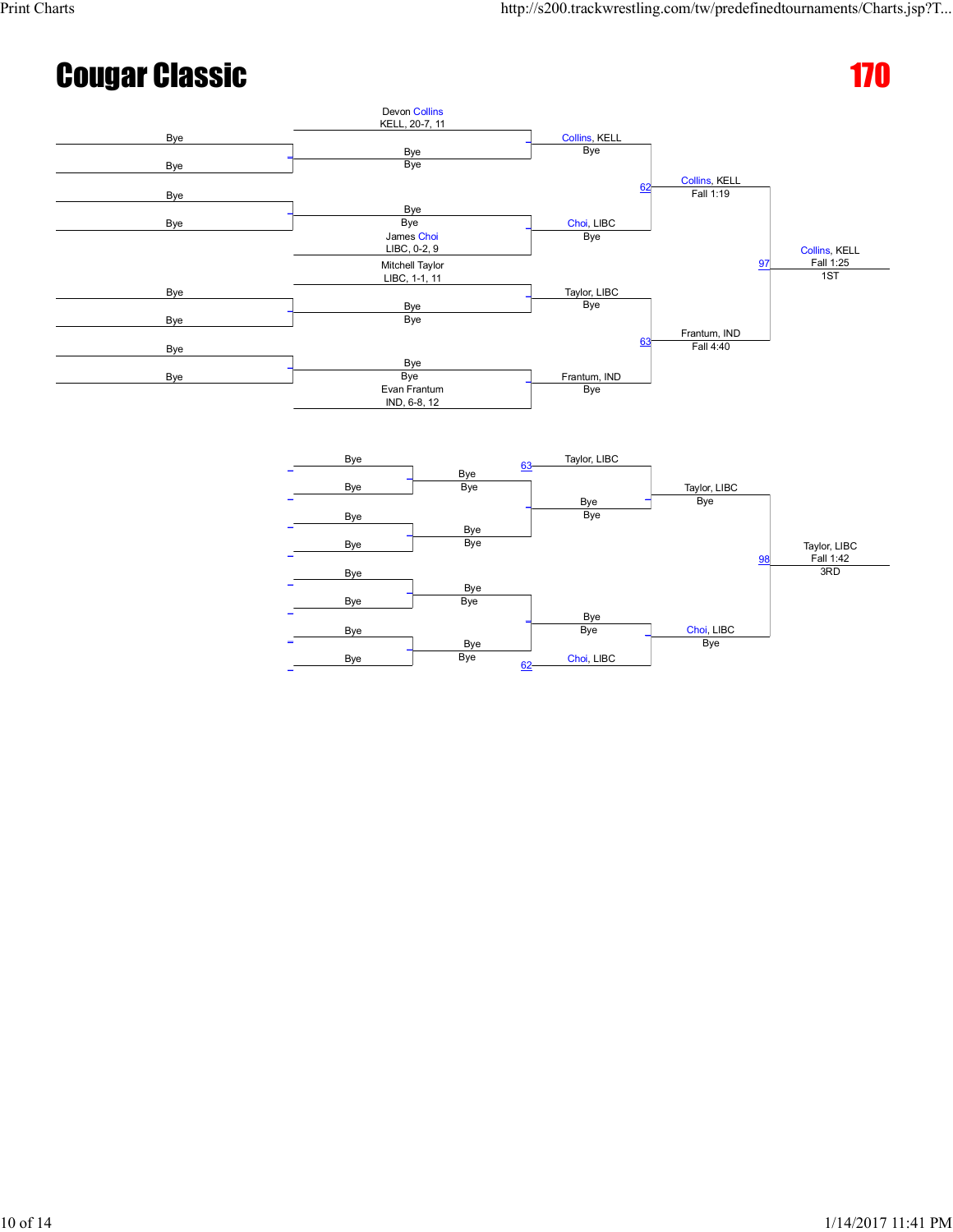![](_page_9_Figure_4.jpeg)

Bye Bye

 $\overline{\phantom{0}}$ 

Bye Bye

Bye

\_

\_

\_

Bye

Choi, LIBC

Bye \_

 $\overline{\phantom{a}}$ 

62

Bye

Choi, LIBC

Bye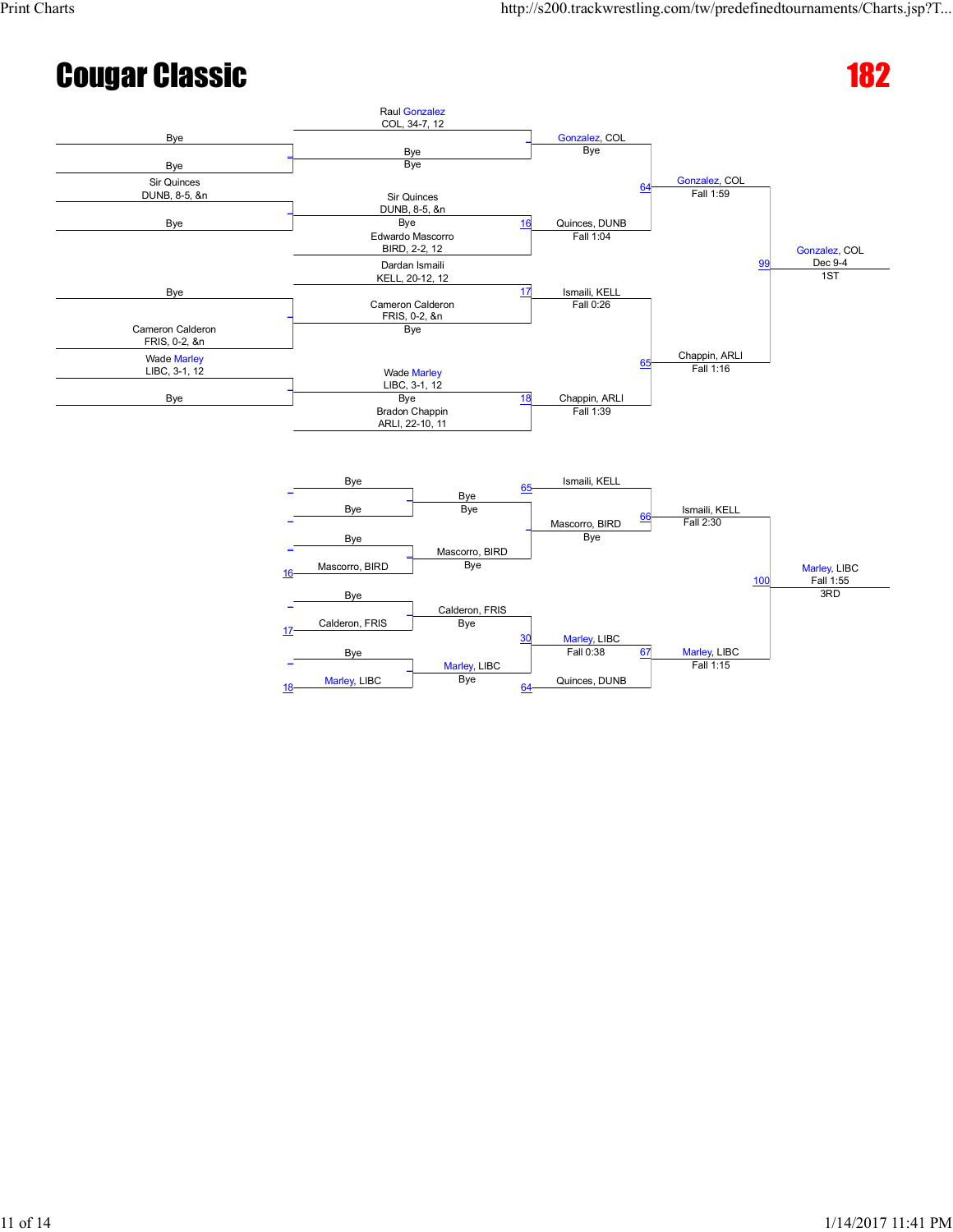<u>100</u>

Marley, LIBC

Fall 1:15

Marley, LIBC<br>Fall 1:55

3RD

### Cougar Classic 182

![](_page_10_Figure_4.jpeg)

Calderon, FRIS

Marley, LIBC<br>Bye

30

64

Marley, LIBC

Quinces, DUNB

Fall 0:38 67

Mascorro, BIRD Bye

17 Calderon, FRIS Bye

 $\overline{\phantom{0}}$ 

\_

Bye

Bye

18 Marley, LIBC

 $\overline{a}$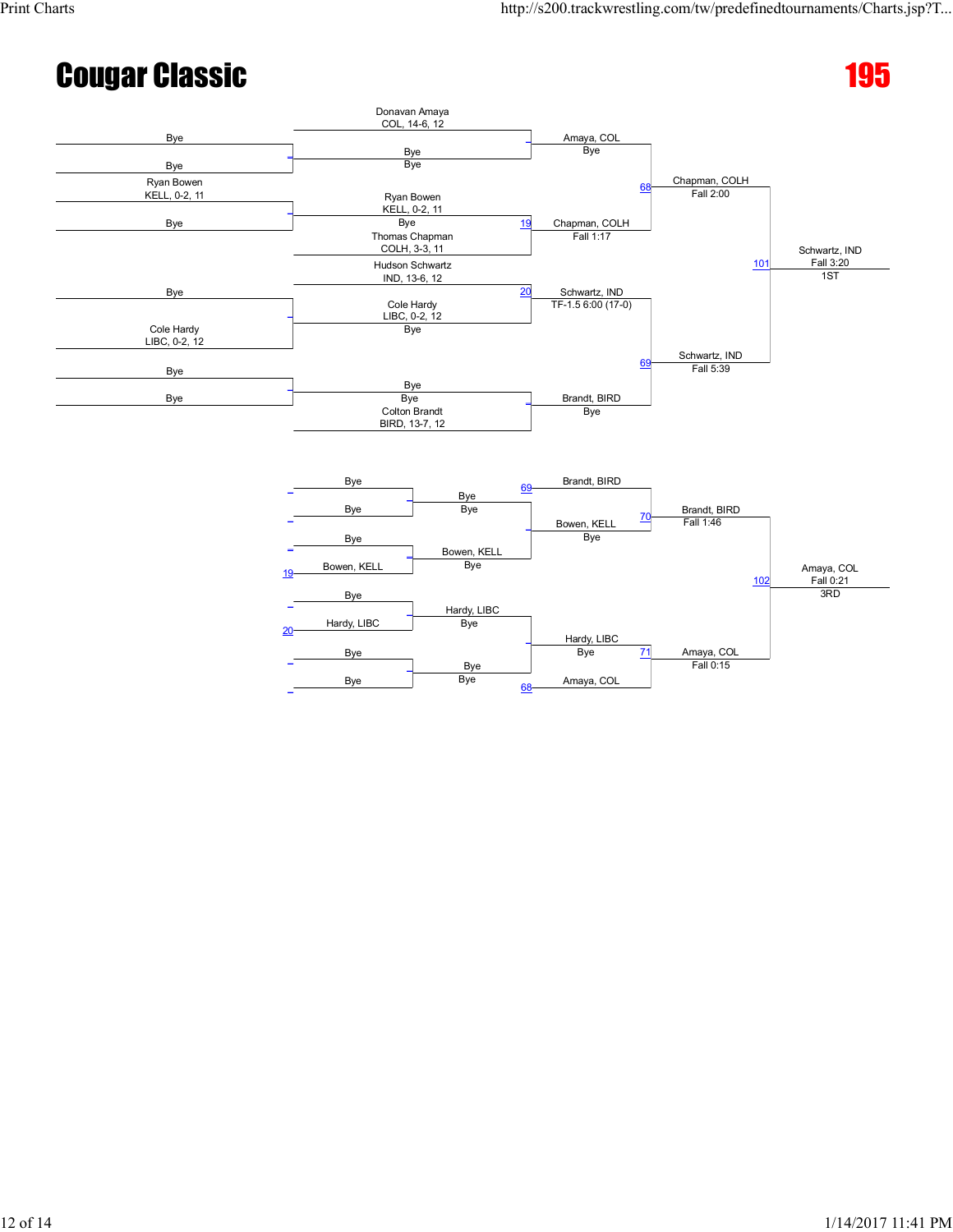## **Cougar Classic 2008 Cougar Classic**

![](_page_11_Figure_3.jpeg)

![](_page_11_Figure_4.jpeg)

![](_page_11_Figure_5.jpeg)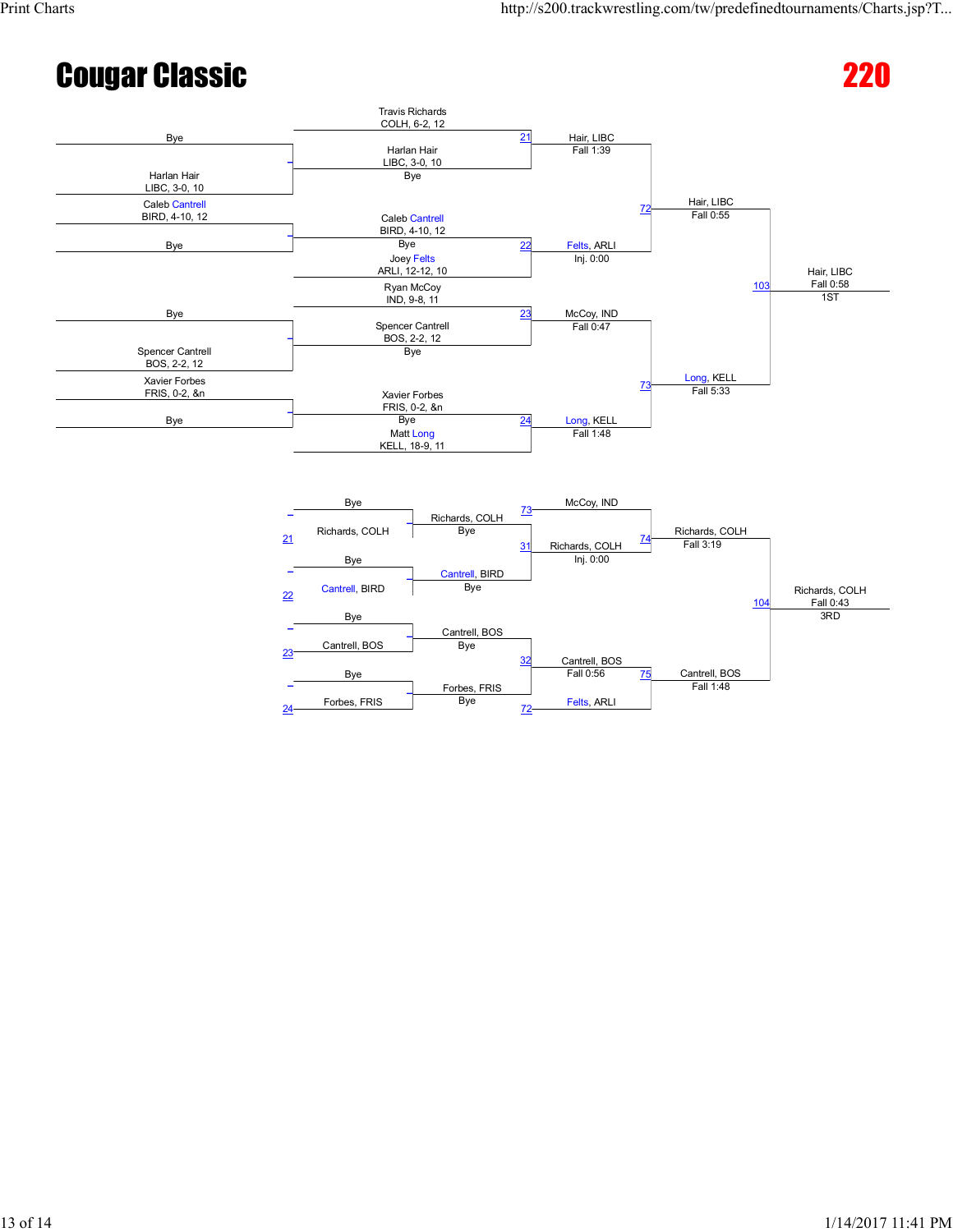## **Cougar Classic 220 and 220 and 220 and 220 and 220 and 220 and 220 and 220 and 220 and 220 and 220 and 220 and 220 and 220 and 220 and 220 and 220 and 220 and 220 and 220 and 220 and 220 and 220 and 220 and 220 and 220 an**

![](_page_12_Figure_4.jpeg)